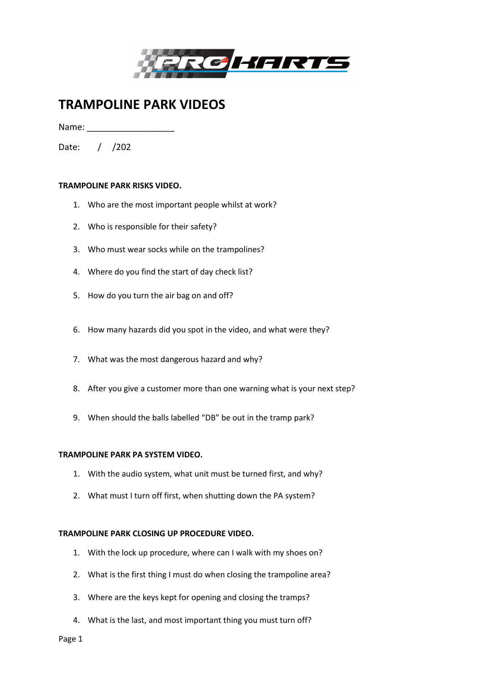

# **TRAMPOLINE PARK VIDEOS**

Name:

Date: / /202

## **TRAMPOLINE PARK RISKS VIDEO.**

- 1. Who are the most important people whilst at work?
- 2. Who is responsible for their safety?
- 3. Who must wear socks while on the trampolines?
- 4. Where do you find the start of day check list?
- 5. How do you turn the air bag on and off?
- 6. How many hazards did you spot in the video, and what were they?
- 7. What was the most dangerous hazard and why?
- 8. After you give a customer more than one warning what is your next step?
- 9. When should the balls labelled "DB" be out in the tramp park?

### **TRAMPOLINE PARK PA SYSTEM VIDEO.**

- 1. With the audio system, what unit must be turned first, and why?
- 2. What must I turn off first, when shutting down the PA system?

### **TRAMPOLINE PARK CLOSING UP PROCEDURE VIDEO.**

- 1. With the lock up procedure, where can I walk with my shoes on?
- 2. What is the first thing I must do when closing the trampoline area?
- 3. Where are the keys kept for opening and closing the tramps?
- 4. What is the last, and most important thing you must turn off?

Page 1